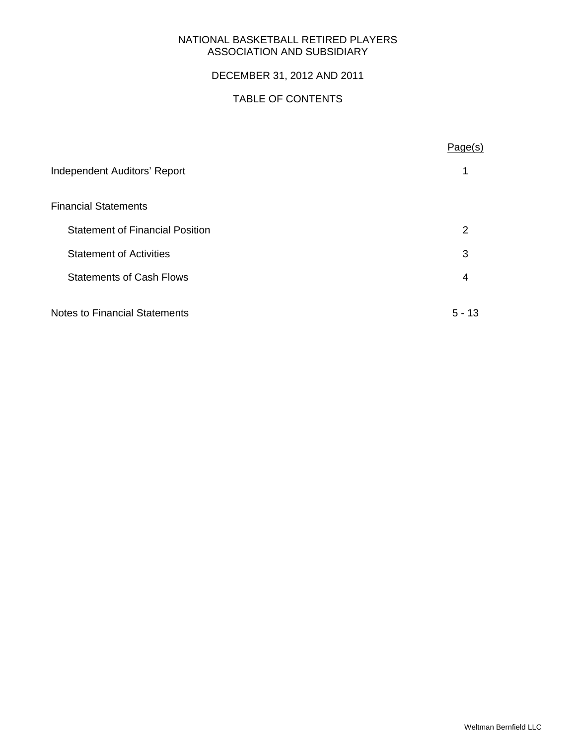# NATIONAL BASKETBALL RETIRED PLAYERS ASSOCIATION AND SUBSIDIARY

# DECEMBER 31, 2012 AND 2011

# TABLE OF CONTENTS

|                                        | Page(s)  |
|----------------------------------------|----------|
| <b>Independent Auditors' Report</b>    |          |
| <b>Financial Statements</b>            |          |
| <b>Statement of Financial Position</b> | 2        |
| <b>Statement of Activities</b>         | 3        |
| <b>Statements of Cash Flows</b>        | 4        |
| <b>Notes to Financial Statements</b>   | $5 - 13$ |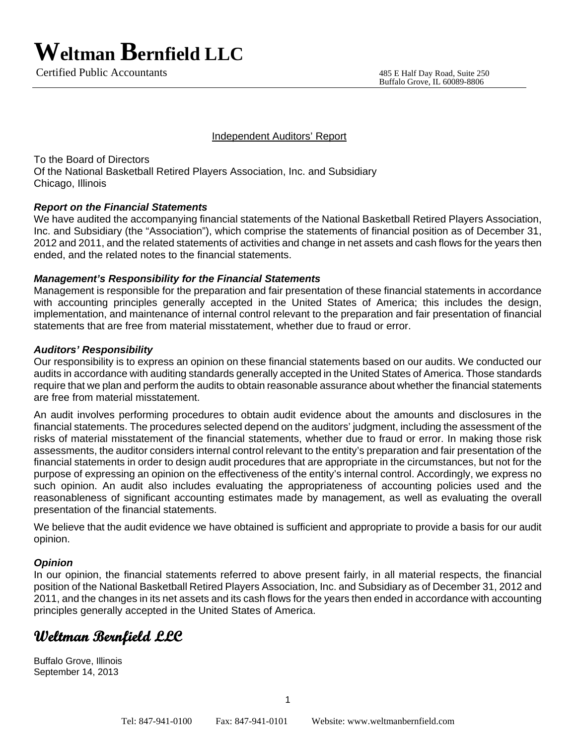# **Weltman Bernfield LLC**

Certified Public Accountants 485 E Half Day Road, Suite 250

#### Independent Auditors' Report

To the Board of Directors Of the National Basketball Retired Players Association, Inc. and Subsidiary Chicago, Illinois

#### *Report on the Financial Statements*

We have audited the accompanying financial statements of the National Basketball Retired Players Association, Inc. and Subsidiary (the "Association"), which comprise the statements of financial position as of December 31, 2012 and 2011, and the related statements of activities and change in net assets and cash flows for the years then ended, and the related notes to the financial statements.

#### *Management's Responsibility for the Financial Statements*

Management is responsible for the preparation and fair presentation of these financial statements in accordance with accounting principles generally accepted in the United States of America; this includes the design, implementation, and maintenance of internal control relevant to the preparation and fair presentation of financial statements that are free from material misstatement, whether due to fraud or error.

#### *Auditors' Responsibility*

Our responsibility is to express an opinion on these financial statements based on our audits. We conducted our audits in accordance with auditing standards generally accepted in the United States of America. Those standards require that we plan and perform the audits to obtain reasonable assurance about whether the financial statements are free from material misstatement.

An audit involves performing procedures to obtain audit evidence about the amounts and disclosures in the financial statements. The procedures selected depend on the auditors' judgment, including the assessment of the risks of material misstatement of the financial statements, whether due to fraud or error. In making those risk assessments, the auditor considers internal control relevant to the entity's preparation and fair presentation of the financial statements in order to design audit procedures that are appropriate in the circumstances, but not for the purpose of expressing an opinion on the effectiveness of the entity's internal control. Accordingly, we express no such opinion. An audit also includes evaluating the appropriateness of accounting policies used and the reasonableness of significant accounting estimates made by management, as well as evaluating the overall presentation of the financial statements.

We believe that the audit evidence we have obtained is sufficient and appropriate to provide a basis for our audit opinion.

#### *Opinion*

In our opinion, the financial statements referred to above present fairly, in all material respects, the financial position of the National Basketball Retired Players Association, Inc. and Subsidiary as of December 31, 2012 and 2011, and the changes in its net assets and its cash flows for the years then ended in accordance with accounting principles generally accepted in the United States of America.

# **Weltman Bernfield LLC**

Buffalo Grove, Illinois September 14, 2013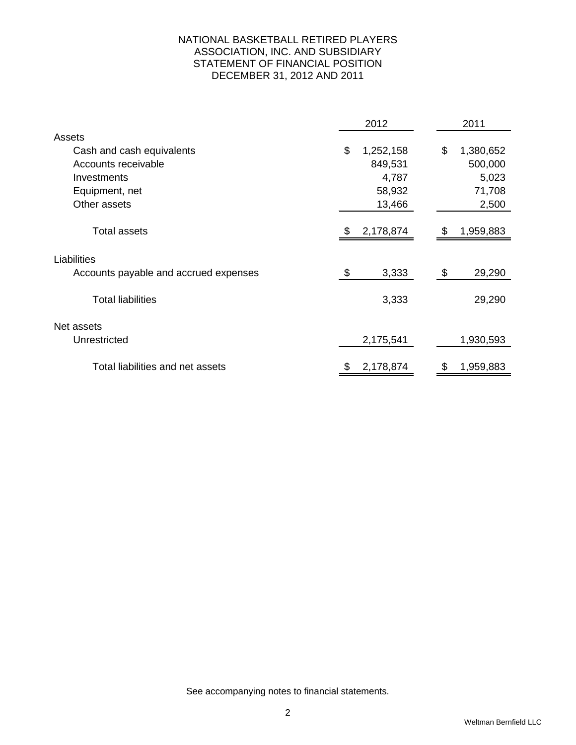|                                       | 2012 |           | 2011 |           |
|---------------------------------------|------|-----------|------|-----------|
| Assets                                |      |           |      |           |
| Cash and cash equivalents             | \$   | 1,252,158 | \$   | 1,380,652 |
| Accounts receivable                   |      | 849,531   |      | 500,000   |
| Investments                           |      | 4,787     |      | 5,023     |
| Equipment, net                        |      | 58,932    |      | 71,708    |
| Other assets                          |      | 13,466    |      | 2,500     |
| <b>Total assets</b>                   | Ж,   | 2,178,874 | \$   | 1,959,883 |
| Liabilities                           |      |           |      |           |
| Accounts payable and accrued expenses | \$   | 3,333     | \$   | 29,290    |
| <b>Total liabilities</b>              |      | 3,333     |      | 29,290    |
| Net assets<br>Unrestricted            |      | 2,175,541 |      | 1,930,593 |
| Total liabilities and net assets      |      | 2,178,874 |      | 1,959,883 |

See accompanying notes to financial statements.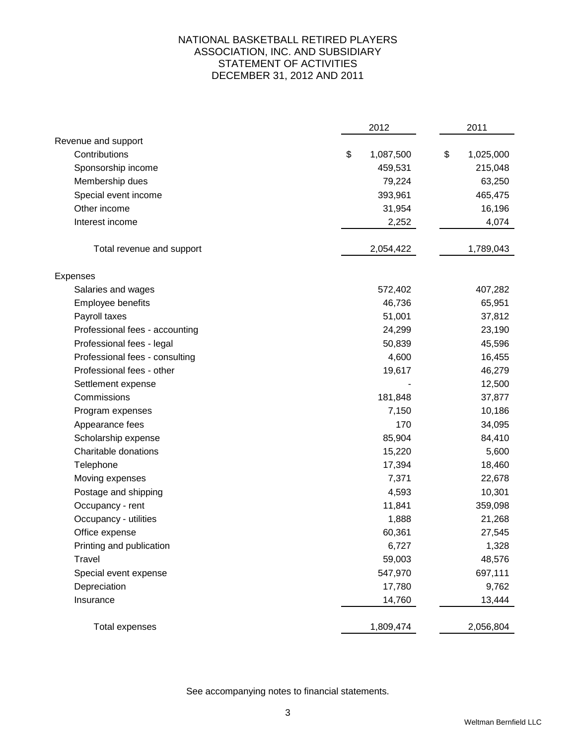#### NATIONAL BASKETBALL RETIRED PLAYERS ASSOCIATION, INC. AND SUBSIDIARY STATEMENT OF ACTIVITIES DECEMBER 31, 2012 AND 2011

|                                | 2012            |                 |
|--------------------------------|-----------------|-----------------|
| Revenue and support            |                 |                 |
| Contributions                  | \$<br>1,087,500 | \$<br>1,025,000 |
| Sponsorship income             | 459,531         | 215,048         |
| Membership dues                | 79,224          | 63,250          |
| Special event income           | 393,961         | 465,475         |
| Other income                   | 31,954          | 16,196          |
| Interest income                | 2,252           | 4,074           |
| Total revenue and support      | 2,054,422       | 1,789,043       |
| Expenses                       |                 |                 |
| Salaries and wages             | 572,402         | 407,282         |
| Employee benefits              | 46,736          | 65,951          |
| Payroll taxes                  | 51,001          | 37,812          |
| Professional fees - accounting | 24,299          | 23,190          |
| Professional fees - legal      | 50,839          | 45,596          |
| Professional fees - consulting | 4,600           | 16,455          |
| Professional fees - other      | 19,617          | 46,279          |
| Settlement expense             |                 | 12,500          |
| Commissions                    | 181,848         | 37,877          |
| Program expenses               | 7,150           | 10,186          |
| Appearance fees                | 170             | 34,095          |
| Scholarship expense            | 85,904          | 84,410          |
| Charitable donations           | 15,220          | 5,600           |
| Telephone                      | 17,394          | 18,460          |
| Moving expenses                | 7,371           | 22,678          |
| Postage and shipping           | 4,593           | 10,301          |
| Occupancy - rent               | 11,841          | 359,098         |
| Occupancy - utilities          | 1,888           | 21,268          |
| Office expense                 | 60,361          | 27,545          |
| Printing and publication       | 6,727           | 1,328           |
| Travel                         | 59,003          | 48,576          |
| Special event expense          | 547,970         | 697,111         |
| Depreciation                   | 17,780          | 9,762           |
| Insurance                      | 14,760          | 13,444          |
| <b>Total expenses</b>          | 1,809,474       | 2,056,804       |

See accompanying notes to financial statements.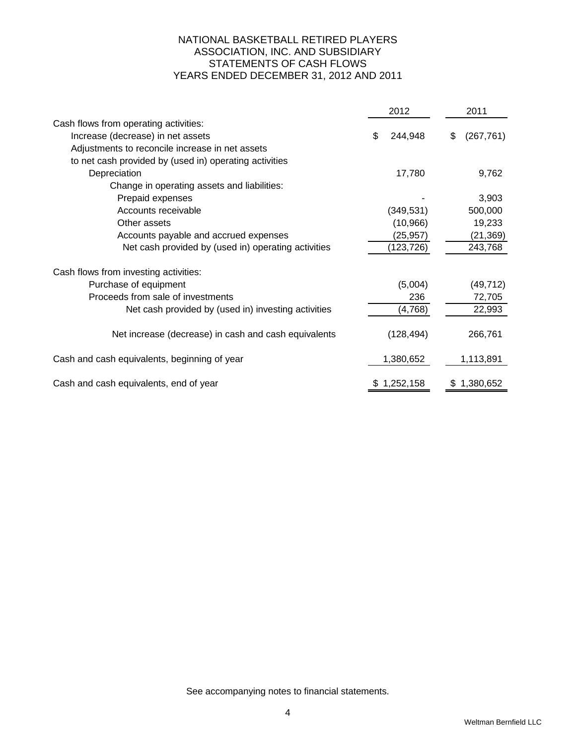#### NATIONAL BASKETBALL RETIRED PLAYERS ASSOCIATION, INC. AND SUBSIDIARY STATEMENTS OF CASH FLOWS YEARS ENDED DECEMBER 31, 2012 AND 2011

|                                                        | 2012          | 2011             |
|--------------------------------------------------------|---------------|------------------|
| Cash flows from operating activities:                  |               |                  |
| Increase (decrease) in net assets                      | \$<br>244,948 | \$<br>(267, 761) |
| Adjustments to reconcile increase in net assets        |               |                  |
| to net cash provided by (used in) operating activities |               |                  |
| Depreciation                                           | 17,780        | 9,762            |
| Change in operating assets and liabilities:            |               |                  |
| Prepaid expenses                                       |               | 3,903            |
| Accounts receivable                                    | (349, 531)    | 500,000          |
| Other assets                                           | (10, 966)     | 19,233           |
| Accounts payable and accrued expenses                  | (25,957)      | (21, 369)        |
| Net cash provided by (used in) operating activities    | (123, 726)    | 243,768          |
| Cash flows from investing activities:                  |               |                  |
| Purchase of equipment                                  | (5,004)       | (49, 712)        |
| Proceeds from sale of investments                      | 236           | 72,705           |
| Net cash provided by (used in) investing activities    | (4,768)       | 22,993           |
| Net increase (decrease) in cash and cash equivalents   | (128, 494)    | 266,761          |
| Cash and cash equivalents, beginning of year           | 1,380,652     | 1,113,891        |
| Cash and cash equivalents, end of year                 | \$1,252,158   | \$1,380,652      |

See accompanying notes to financial statements.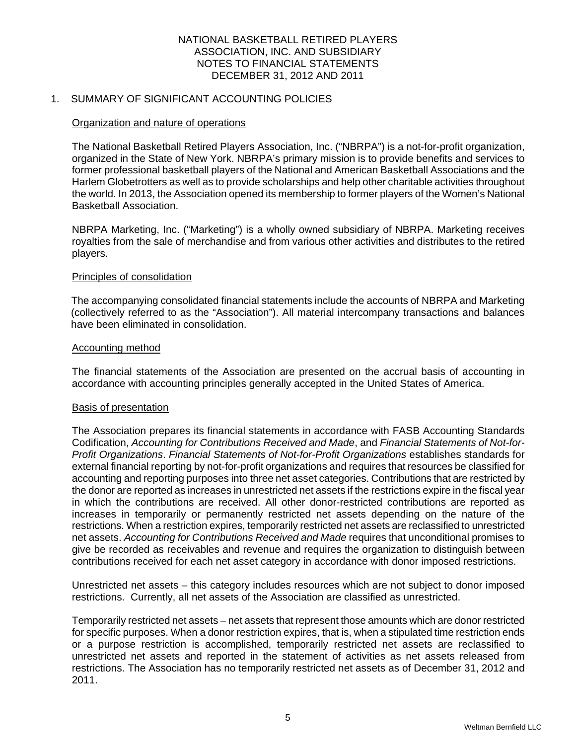#### 1. SUMMARY OF SIGNIFICANT ACCOUNTING POLICIES

#### Organization and nature of operations

The National Basketball Retired Players Association, Inc. ("NBRPA") is a not-for-profit organization, organized in the State of New York. NBRPA's primary mission is to provide benefits and services to former professional basketball players of the National and American Basketball Associations and the Harlem Globetrotters as well as to provide scholarships and help other charitable activities throughout the world. In 2013, the Association opened its membership to former players of the Women's National Basketball Association.

NBRPA Marketing, Inc. ("Marketing") is a wholly owned subsidiary of NBRPA. Marketing receives royalties from the sale of merchandise and from various other activities and distributes to the retired players.

#### Principles of consolidation

The accompanying consolidated financial statements include the accounts of NBRPA and Marketing (collectively referred to as the "Association"). All material intercompany transactions and balances have been eliminated in consolidation.

#### Accounting method

The financial statements of the Association are presented on the accrual basis of accounting in accordance with accounting principles generally accepted in the United States of America.

#### Basis of presentation

The Association prepares its financial statements in accordance with FASB Accounting Standards Codification, *Accounting for Contributions Received and Made*, and *Financial Statements of Not-for-Profit Organizations*. *Financial Statements of Not-for-Profit Organizations* establishes standards for external financial reporting by not-for-profit organizations and requires that resources be classified for accounting and reporting purposes into three net asset categories. Contributions that are restricted by the donor are reported as increases in unrestricted net assets if the restrictions expire in the fiscal year in which the contributions are received. All other donor-restricted contributions are reported as increases in temporarily or permanently restricted net assets depending on the nature of the restrictions. When a restriction expires, temporarily restricted net assets are reclassified to unrestricted net assets. *Accounting for Contributions Received and Made* requires that unconditional promises to give be recorded as receivables and revenue and requires the organization to distinguish between contributions received for each net asset category in accordance with donor imposed restrictions.

Unrestricted net assets – this category includes resources which are not subject to donor imposed restrictions. Currently, all net assets of the Association are classified as unrestricted.

Temporarily restricted net assets – net assets that represent those amounts which are donor restricted for specific purposes. When a donor restriction expires, that is, when a stipulated time restriction ends or a purpose restriction is accomplished, temporarily restricted net assets are reclassified to unrestricted net assets and reported in the statement of activities as net assets released from restrictions. The Association has no temporarily restricted net assets as of December 31, 2012 and 2011.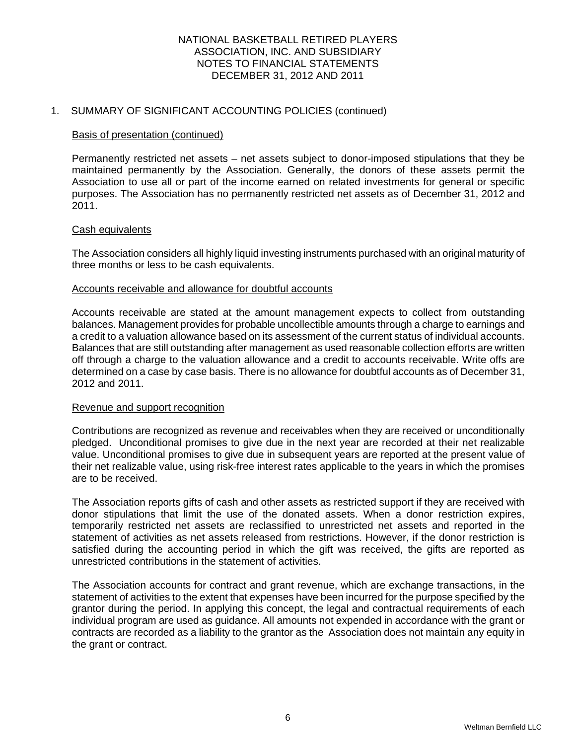# 1. SUMMARY OF SIGNIFICANT ACCOUNTING POLICIES (continued)

#### Basis of presentation (continued)

Permanently restricted net assets – net assets subject to donor-imposed stipulations that they be maintained permanently by the Association. Generally, the donors of these assets permit the Association to use all or part of the income earned on related investments for general or specific purposes. The Association has no permanently restricted net assets as of December 31, 2012 and 2011.

#### Cash equivalents

The Association considers all highly liquid investing instruments purchased with an original maturity of three months or less to be cash equivalents.

#### Accounts receivable and allowance for doubtful accounts

Accounts receivable are stated at the amount management expects to collect from outstanding balances. Management provides for probable uncollectible amounts through a charge to earnings and a credit to a valuation allowance based on its assessment of the current status of individual accounts. Balances that are still outstanding after management as used reasonable collection efforts are written off through a charge to the valuation allowance and a credit to accounts receivable. Write offs are determined on a case by case basis. There is no allowance for doubtful accounts as of December 31, 2012 and 2011.

#### Revenue and support recognition

Contributions are recognized as revenue and receivables when they are received or unconditionally pledged. Unconditional promises to give due in the next year are recorded at their net realizable value. Unconditional promises to give due in subsequent years are reported at the present value of their net realizable value, using risk-free interest rates applicable to the years in which the promises are to be received.

The Association reports gifts of cash and other assets as restricted support if they are received with donor stipulations that limit the use of the donated assets. When a donor restriction expires, temporarily restricted net assets are reclassified to unrestricted net assets and reported in the statement of activities as net assets released from restrictions. However, if the donor restriction is satisfied during the accounting period in which the gift was received, the gifts are reported as unrestricted contributions in the statement of activities.

The Association accounts for contract and grant revenue, which are exchange transactions, in the statement of activities to the extent that expenses have been incurred for the purpose specified by the grantor during the period. In applying this concept, the legal and contractual requirements of each individual program are used as guidance. All amounts not expended in accordance with the grant or contracts are recorded as a liability to the grantor as the Association does not maintain any equity in the grant or contract.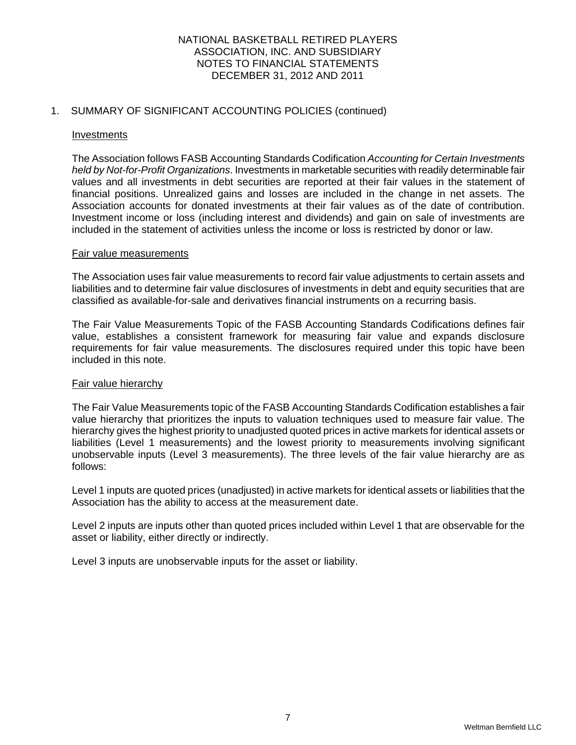# 1. SUMMARY OF SIGNIFICANT ACCOUNTING POLICIES (continued)

#### **Investments**

The Association follows FASB Accounting Standards Codification *Accounting for Certain Investments held by Not-for-Profit Organizations*. Investments in marketable securities with readily determinable fair values and all investments in debt securities are reported at their fair values in the statement of financial positions. Unrealized gains and losses are included in the change in net assets. The Association accounts for donated investments at their fair values as of the date of contribution. Investment income or loss (including interest and dividends) and gain on sale of investments are included in the statement of activities unless the income or loss is restricted by donor or law.

#### Fair value measurements

The Association uses fair value measurements to record fair value adjustments to certain assets and liabilities and to determine fair value disclosures of investments in debt and equity securities that are classified as available-for-sale and derivatives financial instruments on a recurring basis.

The Fair Value Measurements Topic of the FASB Accounting Standards Codifications defines fair value, establishes a consistent framework for measuring fair value and expands disclosure requirements for fair value measurements. The disclosures required under this topic have been included in this note.

#### Fair value hierarchy

The Fair Value Measurements topic of the FASB Accounting Standards Codification establishes a fair value hierarchy that prioritizes the inputs to valuation techniques used to measure fair value. The hierarchy gives the highest priority to unadjusted quoted prices in active markets for identical assets or liabilities (Level 1 measurements) and the lowest priority to measurements involving significant unobservable inputs (Level 3 measurements). The three levels of the fair value hierarchy are as follows:

Level 1 inputs are quoted prices (unadjusted) in active markets for identical assets or liabilities that the Association has the ability to access at the measurement date.

Level 2 inputs are inputs other than quoted prices included within Level 1 that are observable for the asset or liability, either directly or indirectly.

Level 3 inputs are unobservable inputs for the asset or liability.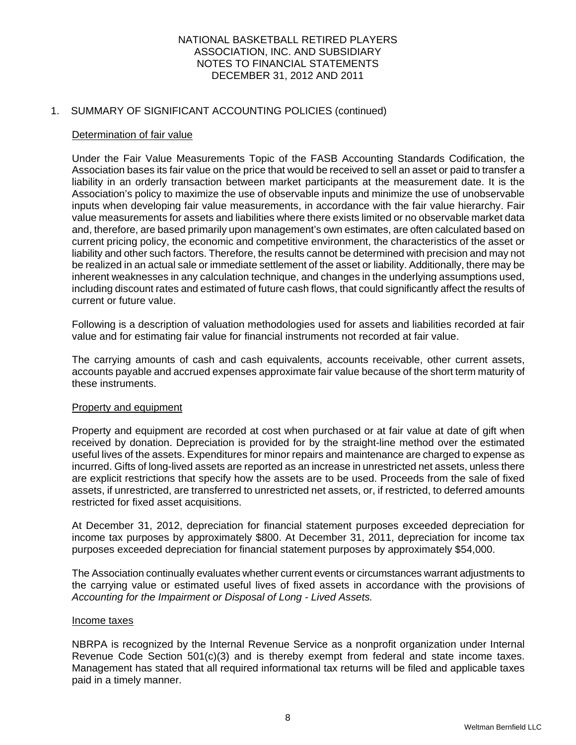# 1. SUMMARY OF SIGNIFICANT ACCOUNTING POLICIES (continued)

#### Determination of fair value

Under the Fair Value Measurements Topic of the FASB Accounting Standards Codification, the Association bases its fair value on the price that would be received to sell an asset or paid to transfer a liability in an orderly transaction between market participants at the measurement date. It is the Association's policy to maximize the use of observable inputs and minimize the use of unobservable inputs when developing fair value measurements, in accordance with the fair value hierarchy. Fair value measurements for assets and liabilities where there exists limited or no observable market data and, therefore, are based primarily upon management's own estimates, are often calculated based on current pricing policy, the economic and competitive environment, the characteristics of the asset or liability and other such factors. Therefore, the results cannot be determined with precision and may not be realized in an actual sale or immediate settlement of the asset or liability. Additionally, there may be inherent weaknesses in any calculation technique, and changes in the underlying assumptions used, including discount rates and estimated of future cash flows, that could significantly affect the results of current or future value.

Following is a description of valuation methodologies used for assets and liabilities recorded at fair value and for estimating fair value for financial instruments not recorded at fair value.

The carrying amounts of cash and cash equivalents, accounts receivable, other current assets, accounts payable and accrued expenses approximate fair value because of the short term maturity of these instruments.

#### Property and equipment

Property and equipment are recorded at cost when purchased or at fair value at date of gift when received by donation. Depreciation is provided for by the straight-line method over the estimated useful lives of the assets. Expenditures for minor repairs and maintenance are charged to expense as incurred. Gifts of long-lived assets are reported as an increase in unrestricted net assets, unless there are explicit restrictions that specify how the assets are to be used. Proceeds from the sale of fixed assets, if unrestricted, are transferred to unrestricted net assets, or, if restricted, to deferred amounts restricted for fixed asset acquisitions.

At December 31, 2012, depreciation for financial statement purposes exceeded depreciation for income tax purposes by approximately \$800. At December 31, 2011, depreciation for income tax purposes exceeded depreciation for financial statement purposes by approximately \$54,000.

The Association continually evaluates whether current events or circumstances warrant adjustments to the carrying value or estimated useful lives of fixed assets in accordance with the provisions of *Accounting for the Impairment or Disposal of Long - Lived Assets.* 

#### Income taxes

NBRPA is recognized by the Internal Revenue Service as a nonprofit organization under Internal Revenue Code Section 501(c)(3) and is thereby exempt from federal and state income taxes. Management has stated that all required informational tax returns will be filed and applicable taxes paid in a timely manner.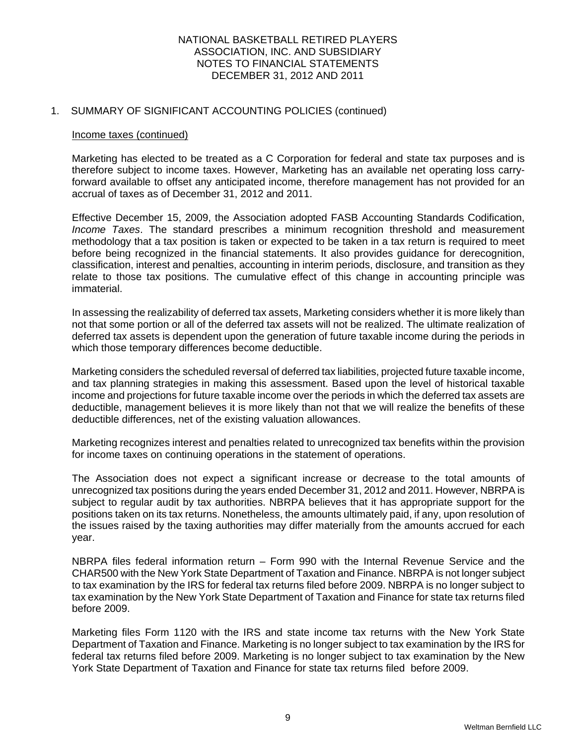## 1. SUMMARY OF SIGNIFICANT ACCOUNTING POLICIES (continued)

#### Income taxes (continued)

Marketing has elected to be treated as a C Corporation for federal and state tax purposes and is therefore subject to income taxes. However, Marketing has an available net operating loss carryforward available to offset any anticipated income, therefore management has not provided for an accrual of taxes as of December 31, 2012 and 2011.

Effective December 15, 2009, the Association adopted FASB Accounting Standards Codification, *Income Taxes*. The standard prescribes a minimum recognition threshold and measurement methodology that a tax position is taken or expected to be taken in a tax return is required to meet before being recognized in the financial statements. It also provides guidance for derecognition, classification, interest and penalties, accounting in interim periods, disclosure, and transition as they relate to those tax positions. The cumulative effect of this change in accounting principle was immaterial.

In assessing the realizability of deferred tax assets, Marketing considers whether it is more likely than not that some portion or all of the deferred tax assets will not be realized. The ultimate realization of deferred tax assets is dependent upon the generation of future taxable income during the periods in which those temporary differences become deductible.

Marketing considers the scheduled reversal of deferred tax liabilities, projected future taxable income, and tax planning strategies in making this assessment. Based upon the level of historical taxable income and projections for future taxable income over the periods in which the deferred tax assets are deductible, management believes it is more likely than not that we will realize the benefits of these deductible differences, net of the existing valuation allowances.

Marketing recognizes interest and penalties related to unrecognized tax benefits within the provision for income taxes on continuing operations in the statement of operations.

The Association does not expect a significant increase or decrease to the total amounts of unrecognized tax positions during the years ended December 31, 2012 and 2011. However, NBRPA is subject to regular audit by tax authorities. NBRPA believes that it has appropriate support for the positions taken on its tax returns. Nonetheless, the amounts ultimately paid, if any, upon resolution of the issues raised by the taxing authorities may differ materially from the amounts accrued for each year.

NBRPA files federal information return – Form 990 with the Internal Revenue Service and the CHAR500 with the New York State Department of Taxation and Finance. NBRPA is not longer subject to tax examination by the IRS for federal tax returns filed before 2009. NBRPA is no longer subject to tax examination by the New York State Department of Taxation and Finance for state tax returns filed before 2009.

Marketing files Form 1120 with the IRS and state income tax returns with the New York State Department of Taxation and Finance. Marketing is no longer subject to tax examination by the IRS for federal tax returns filed before 2009. Marketing is no longer subject to tax examination by the New York State Department of Taxation and Finance for state tax returns filed before 2009.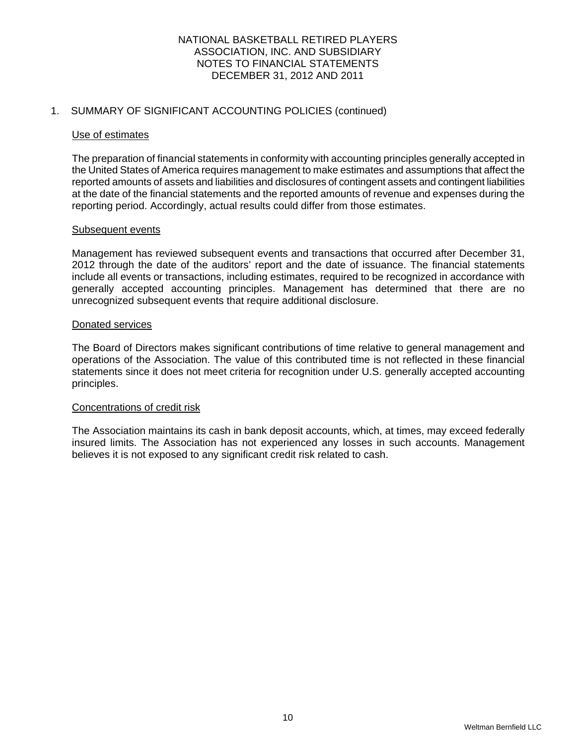# 1. SUMMARY OF SIGNIFICANT ACCOUNTING POLICIES (continued)

#### Use of estimates

The preparation of financial statements in conformity with accounting principles generally accepted in the United States of America requires management to make estimates and assumptions that affect the reported amounts of assets and liabilities and disclosures of contingent assets and contingent liabilities at the date of the financial statements and the reported amounts of revenue and expenses during the reporting period. Accordingly, actual results could differ from those estimates.

#### Subsequent events

Management has reviewed subsequent events and transactions that occurred after December 31, 2012 through the date of the auditors' report and the date of issuance. The financial statements include all events or transactions, including estimates, required to be recognized in accordance with generally accepted accounting principles. Management has determined that there are no unrecognized subsequent events that require additional disclosure.

#### Donated services

The Board of Directors makes significant contributions of time relative to general management and operations of the Association. The value of this contributed time is not reflected in these financial statements since it does not meet criteria for recognition under U.S. generally accepted accounting principles.

#### Concentrations of credit risk

The Association maintains its cash in bank deposit accounts, which, at times, may exceed federally insured limits. The Association has not experienced any losses in such accounts. Management believes it is not exposed to any significant credit risk related to cash.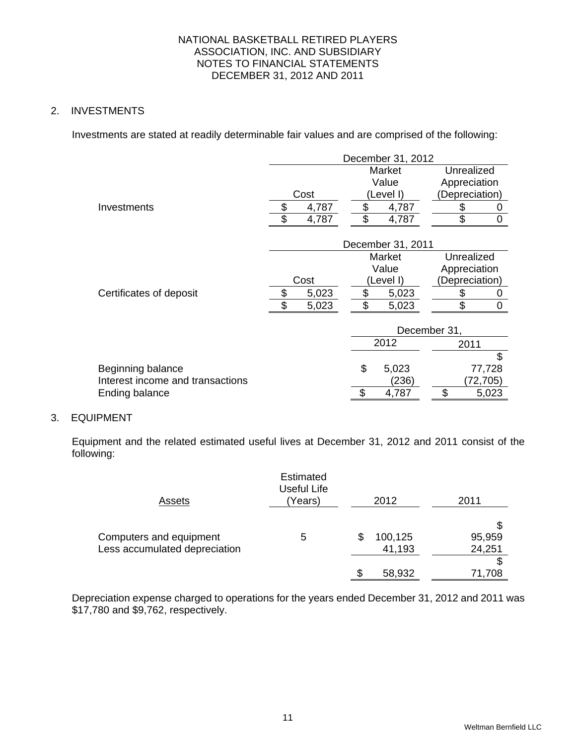# 2. INVESTMENTS

Investments are stated at readily determinable fair values and are comprised of the following:

|                                  | December 31, 2012           |       |              |                      |            |    |                               |          |  |
|----------------------------------|-----------------------------|-------|--------------|----------------------|------------|----|-------------------------------|----------|--|
|                                  |                             |       |              | Unrealized<br>Market |            |    |                               |          |  |
|                                  |                             |       |              |                      | Value      |    | Appreciation                  |          |  |
|                                  |                             | Cost  |              |                      | (Level I)  |    | Depreciation)                 |          |  |
| Investments                      |                             | 4,787 |              | S                    | 4,787      |    |                               | 0        |  |
|                                  |                             | 4,787 |              | \$                   | 4,787      |    | \$                            | 0        |  |
|                                  |                             |       |              |                      |            |    |                               |          |  |
|                                  | December 31, 2011<br>Market |       |              |                      | Unrealized |    |                               |          |  |
|                                  |                             |       |              |                      | Value      |    |                               |          |  |
|                                  |                             | Cost  |              |                      | (Level I)  |    | Appreciation<br>Depreciation) |          |  |
| Certificates of deposit          |                             | 5,023 |              |                      | 5,023      |    |                               | 0        |  |
|                                  |                             | 5,023 |              | \$                   | 5,023      |    | \$                            | 0        |  |
|                                  |                             |       |              |                      |            |    |                               |          |  |
|                                  |                             |       | December 31, |                      |            |    |                               |          |  |
|                                  |                             |       |              |                      | 2012       |    | 2011                          |          |  |
|                                  |                             |       |              |                      |            |    |                               | \$       |  |
| Beginning balance                |                             |       |              | \$                   | 5,023      |    |                               | 77,728   |  |
| Interest income and transactions |                             |       |              |                      | (236)      |    |                               | (72,705) |  |
| <b>Ending balance</b>            |                             |       |              | \$                   | 4,787      | \$ |                               | 5,023    |  |

## 3. EQUIPMENT

Equipment and the related estimated useful lives at December 31, 2012 and 2011 consist of the following:

| Assets                                                   | Estimated<br>Useful Life<br>(Years) | 2012              | 2011                  |
|----------------------------------------------------------|-------------------------------------|-------------------|-----------------------|
| Computers and equipment<br>Less accumulated depreciation | 5                                   | 100,125<br>41,193 | S<br>95,959<br>24,251 |
|                                                          |                                     | 58,932            | S<br>71,708           |

Depreciation expense charged to operations for the years ended December 31, 2012 and 2011 was \$17,780 and \$9,762, respectively.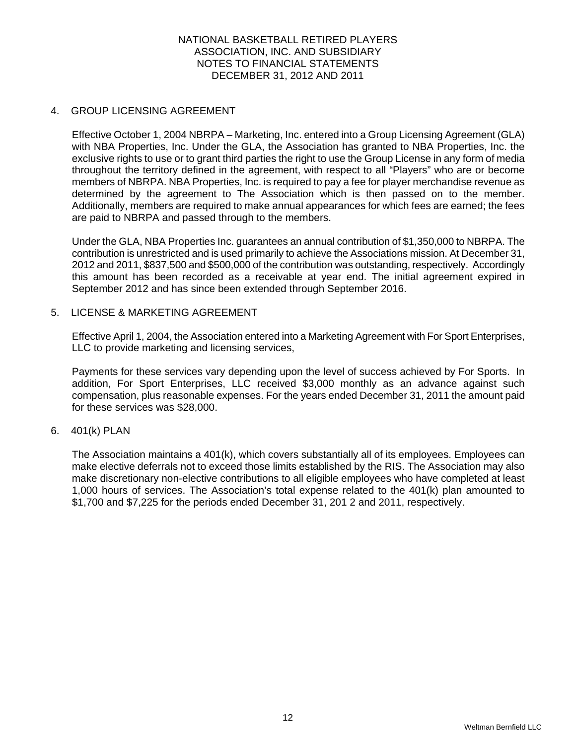# 4. GROUP LICENSING AGREEMENT

Effective October 1, 2004 NBRPA – Marketing, Inc. entered into a Group Licensing Agreement (GLA) with NBA Properties, Inc. Under the GLA, the Association has granted to NBA Properties, Inc. the exclusive rights to use or to grant third parties the right to use the Group License in any form of media throughout the territory defined in the agreement, with respect to all "Players" who are or become members of NBRPA. NBA Properties, Inc. is required to pay a fee for player merchandise revenue as determined by the agreement to The Association which is then passed on to the member. Additionally, members are required to make annual appearances for which fees are earned; the fees are paid to NBRPA and passed through to the members.

Under the GLA, NBA Properties Inc. guarantees an annual contribution of \$1,350,000 to NBRPA. The contribution is unrestricted and is used primarily to achieve the Associations mission. At December 31, 2012 and 2011, \$837,500 and \$500,000 of the contribution was outstanding, respectively. Accordingly this amount has been recorded as a receivable at year end. The initial agreement expired in September 2012 and has since been extended through September 2016.

5. LICENSE & MARKETING AGREEMENT

Effective April 1, 2004, the Association entered into a Marketing Agreement with For Sport Enterprises, LLC to provide marketing and licensing services,

Payments for these services vary depending upon the level of success achieved by For Sports. In addition, For Sport Enterprises, LLC received \$3,000 monthly as an advance against such compensation, plus reasonable expenses. For the years ended December 31, 2011 the amount paid for these services was \$28,000.

6. 401(k) PLAN

The Association maintains a 401(k), which covers substantially all of its employees. Employees can make elective deferrals not to exceed those limits established by the RIS. The Association may also make discretionary non-elective contributions to all eligible employees who have completed at least 1,000 hours of services. The Association's total expense related to the 401(k) plan amounted to \$1,700 and \$7,225 for the periods ended December 31, 201 2 and 2011, respectively.